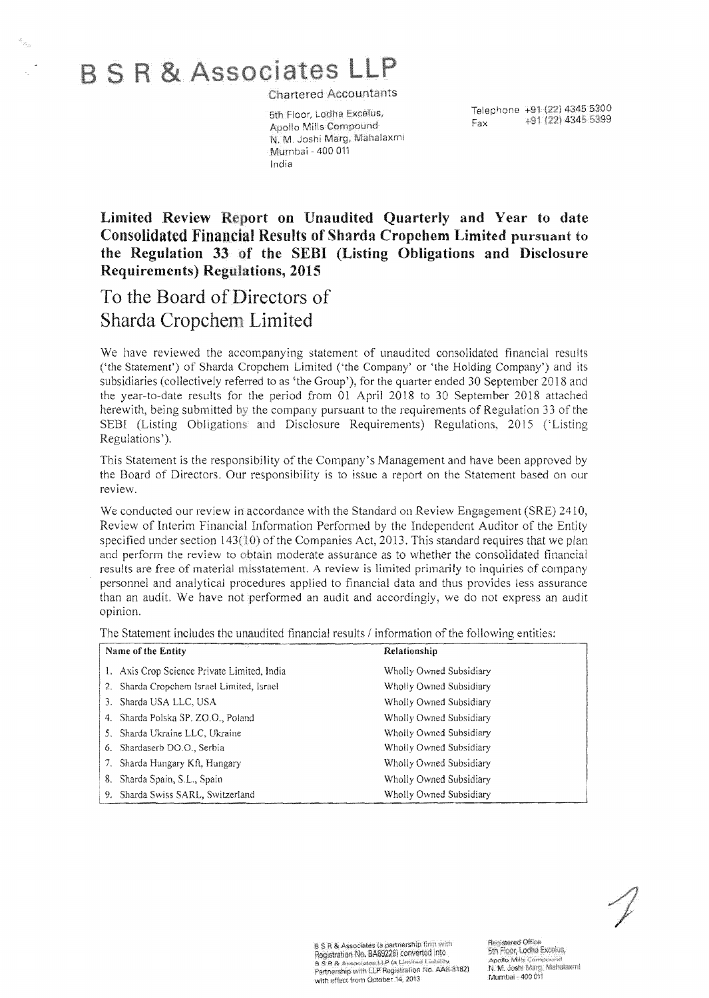# **B S R & Associates LLP**

**Chartered Accountants** 

Apollo Mills Compound<br>N. M. Joshi Marg, Mahalaxmi Mumbai - 400 011 India

Telephone +91 (22) 4345 5300<br>  $\frac{4.51}{2}$  5300<br>
Fax +91 (22) 4345 5399

## Limited Review Report on Unaudited Quarterly and Year to date Consolidated Financial Results of Shgrdg Cropchem Limited pursuant to the Regulation 33 of the SEBI (Listing Obligations and Disclosure Requirements) Regulations, 2015

## To the Board of Directors of Sharda Limited

We have reviewed the accompanying statement of unaudited consolidated financial results ('the Statement') of Sharda Cropchem Limited ('the Company' or 'the Holding Company') and its subsidiaries (collectively referred to as 'the Group'), for the quarter ended 30 September 2018 and the year-to-date results for the period from 01 April 2018 to 30 September 2018 attached herewith, being submitted by the company pursuant to the requirements of Regulation 33 of the SEBI (Listing Obligations: and Disclosure Requirements) Regulations, 2015 ('Listing Regulations').

This Statement is the responsibility of the Company's Management and have been approved by the Board of Directors. Our responsibility is to issue a report on the Statement based on our review.

We conducted our review in accordance with the Standard on Review Engagement (SRE) 2410, Review of Interim Financial Information Performed by the Independent Auditor of the Entity specified under section  $143(10)$  of the Companies Act, 2013. This standard requires that we plan and perform the review to obtain moderate assurance as to whether the consolidated financial results are free of material misstatement. A review is limited primarily to inquiries of company personnel and analytical procedures applied to financial data and thus provides less assurance than an audit. We have not performed an audit and accordingly, we do not express an audit opinion.

The Statement includes the unaudited financial results / information of the following entities;

| Name of the Entity                          | Relationship            |
|---------------------------------------------|-------------------------|
| 1. Axis Crop Science Private Limited, India | Wholly Owned Subsidiary |
| 2. Sharda Cropchem Israel Limited, Israel   | Wholly Owned Subsidiary |
| 3. Sharda USA LLC, USA                      | Wholly Owned Subsidiary |
| 4. Sharda Polska SP, ZO.O., Poland          | Wholly Owned Subsidiary |
| 5. Sharda Ukraine LLC, Ukraine              | Wholly Owned Subsidiary |
| 6. Shardaserb DO.O., Serbia                 | Wholly Owned Subsidiary |
| 7. Sharda Hungary Kft, Hungary              | Wholly Owned Subsidiary |
| 8. Sharda Spain, S.L., Spain                | Wholly Owned Subsidiary |
| 9. Sharda Swiss SARL, Switzerland           | Wholly Owned Subsidiary |

B S R & Associates la partnership firm with Registration No. BA69226) converted into Registration No. BA69226) converted this<br>a.s.a.& Associates LLP ta Limited Linbing.<br>Partnership with LLP Registration No. AAB-8182) with effect from October 14, 2013

Registered Office 5th Floor, Lodha Excelve, Apollo Mills Compound N. M. Joshi Marg, Mahalaxmi. Mumbai - 400 011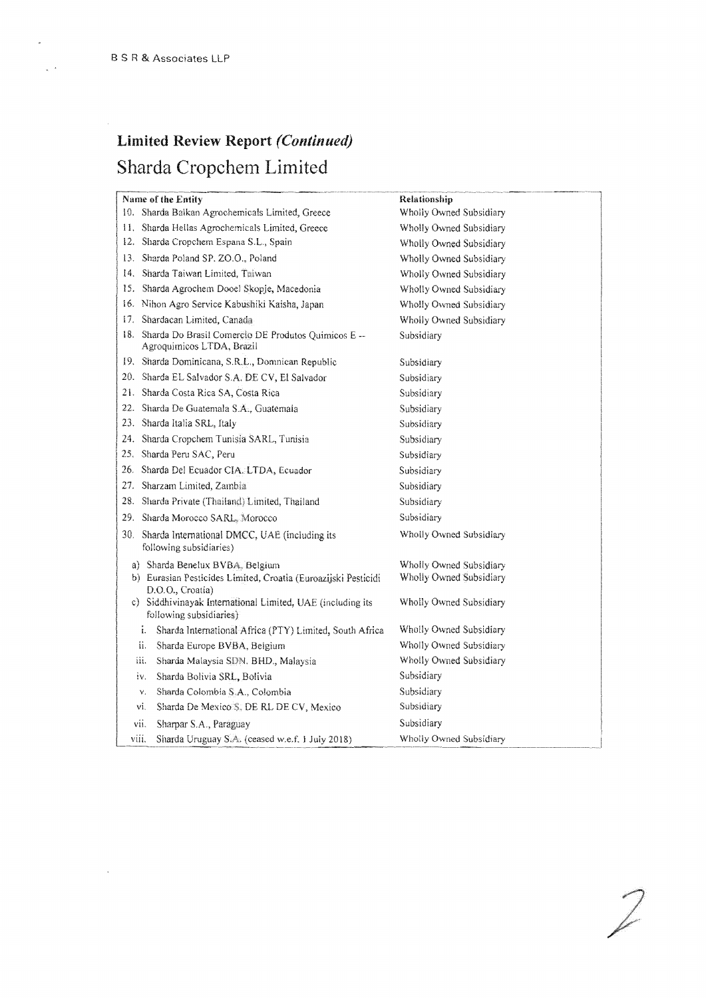# Limited Review Report *(Continued)*  Sharda Cropchem Limited

| Name of the Entity                                                                    | Relationship            |
|---------------------------------------------------------------------------------------|-------------------------|
| 10. Sharda Balkan Agrochemicals Limited, Greece                                       | Wholly Owned Subsidiary |
| 11. Sharda Hellas Agrochemicals Limited, Greece                                       | Wholly Owned Subsidiary |
| 12. Sharda Cropchem Espana S.L., Spain                                                | Wholly Owned Subsidiary |
| 13. Sharda Poland SP. ZO.O., Poland                                                   | Wholly Owned Subsidiary |
| 14. Sharda Taiwan Limited, Taiwan                                                     | Wholly Owned Subsidiary |
| 15. Sharda Agrochem Dooel Skopje, Macedonia                                           | Wholly Owned Subsidiary |
| 16. Nihon Agro Service Kabushiki Kaisha, Japan                                        | Wholly Owned Subsidiary |
| 17. Shardacan Limited, Canada-                                                        | Wholly Owned Subsidiary |
| 18. Sharda Do Brasil Comercio DE Produtos Químicos E --<br>Agroquimicos LTDA, Brazil  | Subsidiary              |
| 19. Sharda Dominicana, S.R.L., Domnican Republic                                      | Subsidiary              |
| 20. Sharda EL Salvador S.A. DE CV, El Salvador                                        | Subsidiary              |
| 21. Sharda Costa Rica SA, Costa Rica                                                  | Subsidiary              |
| 22. Sharda De Guatemala S.A., Guatemala                                               | Subsidiary              |
| 23. Sharda Italia SRL, Italy                                                          | Subsidiary              |
| 24. Sharda Cropchem Tunisia SARL, Tunisia                                             | Subsidiary              |
| 25.<br>Sharda Peru SAC, Peru                                                          | Subsidiary              |
| 26. Sharda Del Ecuador CIA. LTDA, Ecuador                                             | Subsidiary              |
| 27. Sharzam Limited, Zambia                                                           | Subsidiary              |
| 28. Sharda Private (Thailand) Limited, Thailand                                       | Subsidiary              |
| 29. Sharda Morocco SARL, Morocco                                                      | Subsidiary              |
| 30. Sharda International DMCC, UAE (including its<br>following subsidiaries)          | Wholly Owned Subsidiary |
| a) Sharda Benelux BVBA, Belgium                                                       | Wholly Owned Subsidiary |
| b) Eurasian Pesticides Limited, Croatia (Euroazijski Pesticidi<br>D.O.O., Croatia)    | Wholly Owned Subsidiary |
| c) Siddhivinayak International Limited, UAE (including its<br>following subsidiaries) | Wholly Owned Subsidiary |
| i.<br>Sharda International Africa (PTY) Limited, South Africa                         | Wholly Owned Subsidiary |
| ii.<br>Sharda Europe BVBA, Belgium                                                    | Wholly Owned Subsidiary |
| iii.<br>Sharda Malaysia SDN. BHD., Malaysia                                           | Wholly Owned Subsidiary |
| Sharda Bolivia SRL, Bolivia<br>iv.                                                    | Subsidiary              |
| Sharda Colombia S.A., Colombia<br>ν.                                                  | Subsidiary              |
| vi.<br>Sharda De Mexico S. DE RL DE CV, Mexico                                        | Subsidiary              |
| vii.<br>Sharpar S.A., Paraguay                                                        | Subsidiary              |
| viii.<br>Sharda Uruguay S.A. (ceased w.e.f. 1 July 2018)                              | Wholly Owned Subsidiary |

 $\mathcal{D}$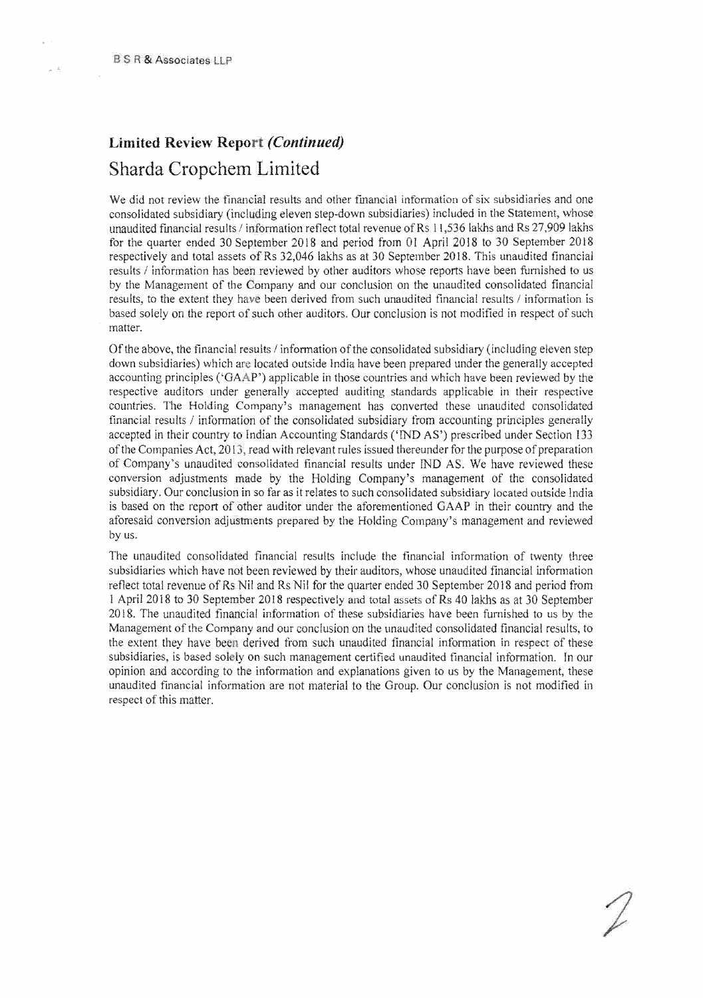# Limited Review Report (Continued) Sharda Cropchem Limited

We did not review the financial results and other financial information of six subsidiaries and one consolidated subsidiary (including eleven step-down subsidiaries) included in the Statement, whose unaudited financial results / information reflect total revenue of Rs 11,536 lakhs and Rs 27,909 lakhs for the quarter ended 30 September 2018 and period from 01 April 2018 to 30 September 2018 respectively and total assets of Rs 32,046 lakhs as at 30 September 2018. This unaudited financial results / information has been reviewed by other auditors whose reports have been furnished to us by the Management of the Company and our conclusion on the unaudited consolidated financial results, to the extent they have been derived from such unaudited financial results / information is based solely on the report of such other auditors. Our conclusion is not modified in respect of such matter.

Of the above, the financial results / information of the consolidated subsidiary (including eleven step down subsidiaries) which are located outside India have been prepared under the generally accepted accounting principles ('GAAP') applicable in those countries and which have been reviewed by the respective auditors under generally accepted auditing standards applicable in their respective countries. The Holding Company's management has converted these unaudited consolidated financial results / information of the consolidated subsidiary from accounting principles generally accepted in their country to Indian Accounting Standards ('IND AS') prescribed under Section 133 of the Companies Act,  $2013$ , read with relevant rules issued thereunder for the purpose of preparation of Company's unaudited consolidated financial results under IND AS. We have reviewed these conversion adjustments made by the Holding Company's management of the consolidated subsidiary. Our conclusion in so far as it relates to such consolidated subsidiary located outside India is based on the report of other auditor under the aforementioned GAAP in their country and the aforesaid conversion adjustments prepared by the Holding Company's management and reviewed by us.

The unaudited consolidated financial results include the financial information of twenty three subsidiaries which have not been reviewed by their auditors, whose unaudited financial information reflect total revenue of Rs Nil and Rs Nil for the quarter ended 30 September 2018 and period from 1 April 2018 to 30 September 20 18 respectively and total assets of Rs 40 lakhs as at 30 September 2018. The unaudited financial information of these subsidiaries have been furnished to us by the Management of the Company and our conclusion on the unaudited consolidated financial results, to the extent they have derived from such unaudited financial information in respect of these subsidiaries, is based solely on such management certified unaudited financial information. In our opinion and according to the information and explanations given to us by the Management, these unaudited financial information are not material to the Group. Our conclusion is not modified in respect of this matter.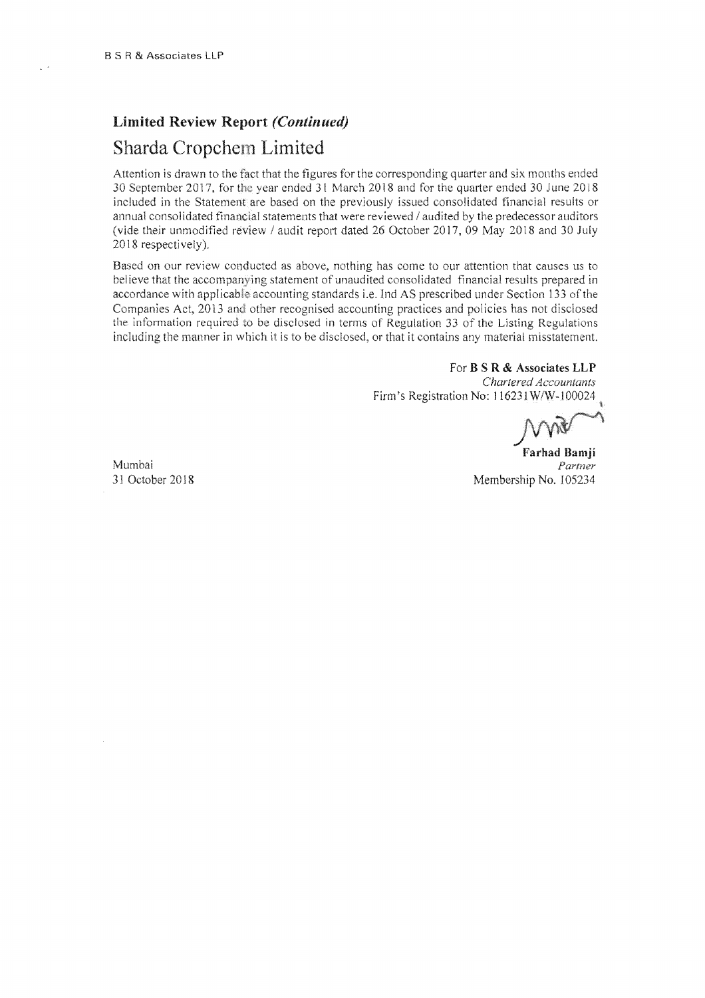## Limited Review Report *(Continued)*  Sharda Limited

2018 respectively). Attention is drawn to the fact that the figures for the corresponding quarter and six months ended 30 September 2017, for the year ended 31 March 2018 and for the quarter ended 30 June 2018 included in the Statement are based on the previously issued consolidated financial results or annual consolidated financial statements that were reviewed  $\ell$  audited by the predecessor auditors (vide their unmodified review / audit report dated 26 October 2017, 09 May 2018 and 30 July

Based on our review conducted as above, nothing has come to our attention that causes us to believe that the accompanying statement of unaudited consolidated financial results prepared in accordance with applicable accounting standards i.e. Ind AS prescribed under Section 133 of the Companies Act, 2013 and other recognised accounting practices and policies has not disclosed the information required to be disclosed in terms of Regulation 33 of the Listing Regulations including the manner in which it is to be disclosed, or that it contains any material misstatement.

## For B S R & Associates LLP

*Chartered Accountants*  Firm's Registration No: 116231W/W-100024

Farhad Bamji Mumbai *Partner*  31 October 2018 Membership No. 105234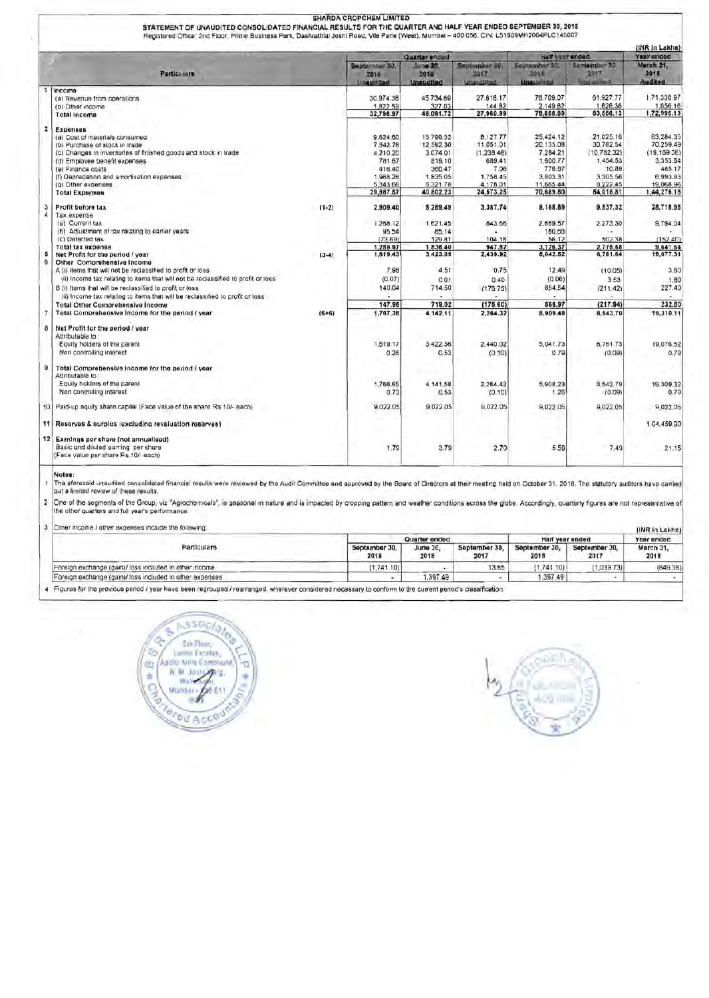|                     |                                                                                                                                                                                                                                                                                                                                                                                            |           |                                                                                           | Quarter entied                                                                              |                                                                                             | half your ended                                                                                |                                                                                                 | (INR In Lakha)<br>Year ended                                                                        |
|---------------------|--------------------------------------------------------------------------------------------------------------------------------------------------------------------------------------------------------------------------------------------------------------------------------------------------------------------------------------------------------------------------------------------|-----------|-------------------------------------------------------------------------------------------|---------------------------------------------------------------------------------------------|---------------------------------------------------------------------------------------------|------------------------------------------------------------------------------------------------|-------------------------------------------------------------------------------------------------|-----------------------------------------------------------------------------------------------------|
|                     | Particillura                                                                                                                                                                                                                                                                                                                                                                               |           | September 50,<br>2014<br><b>Libaucited</b>                                                | <b>Литие 30.</b><br>2018<br><b>Unaudited</b>                                                | <b>Beatumber 30</b><br>2017<br><b>Unaurillind</b>                                           | Equitamber 30,<br>2018<br><b>Ungelines</b>                                                     | Santamber 30<br>2017<br><b>Little usiling</b>                                                   | March 31.<br>2018<br>Audited                                                                        |
| 1                   | Income<br>(a) Revenue from operations<br>(b) Other income<br><b>Total Income</b>                                                                                                                                                                                                                                                                                                           |           | 30,974.38<br>1,822.59<br>32,796.97                                                        | 45,734.69<br>327 03<br>46,061.72                                                            | 27,816.17<br>144.82<br>27,960.99                                                            | 76,709.07<br>2,149.62<br>78,858.69                                                             | 61.927.77<br>1,628.36<br>63,556.13                                                              | 1,71,338.97<br>1,656.16<br>1,72,996.13                                                              |
| $\mathbf{z}$        | <b>Ехрепеев</b><br>(a) Cost of materials consumed<br>(b) Purchase of stock in trade<br>(c) Changes in inventories of finished goods and stock in trade<br>(d) Employee benefit expenses<br>(a) Financa costs<br>(f) Depreciation and amortisation expenses<br>(g) Other expenses<br><b>Total Expenses</b>                                                                                  |           | 9,624.60<br>7,542.78<br>4.210.20<br>781.67<br>416.40<br>1,968.26<br>5,343.66<br>29,887.57 | 15,799.52<br>12.592.30<br>3,074.01<br>819.10<br>360.47<br>1,835.05<br>6,321.78<br>40,802.23 | 8,127.77<br>11.051.01<br>(1, 238.48)<br>689.41<br>7.06<br>1.758.45<br>4,178.01<br>24,573.25 | 25,424.12<br>20.135.08<br>7.284.21<br>1.600.77<br>776.87<br>3,803.31<br>11,665.44<br>70,689.80 | 21.025.16<br>30.782.54<br>(10.782.32)<br>1,454.53<br>10.89<br>3,305.56<br>8,222.45<br>54,018.81 | 63.284.35<br>70.259.49<br>(19.169.36)<br>3,353.64<br>485.17<br>6,993.93<br>19,068.96<br>1,44,276.18 |
| з<br>$\overline{A}$ | Profit before tax<br>Tax expense<br>(a) Current tax<br>(b) Adjustment of tax relating to earlier years<br>(c) Deferred tax                                                                                                                                                                                                                                                                 | $(1-2)$   | 2.909.40<br>1.268.12<br>95.54<br>(73.69)                                                  | 5,259.49<br>1,621.45<br>85.14<br>129.81                                                     | 3,387.74<br>843.66<br>104.16                                                                | 8,168.89<br>2,669.57<br>160.66<br>56.12                                                        | 9.537.32<br>2.273.30<br>502.38                                                                  | 28.718.95<br>9.794.04<br>(152.40)                                                                   |
| 5<br>6              | <b>Total tax expense</b><br>Net Profit for the period / year<br>Other Comprehensive Income<br>A (i) items that will not be reclassified to profit or loss<br>(ii) Income tax relating to items that will not be reclassified to profit or loss<br>B (i) Items that will be reclassified to profit or loss<br>(ii) Income tax relating to items that will be reclassified to profit or loss | $(3 - 4)$ | 1,289.97<br>1,619.43<br>7.98<br>(0.07)<br>140.04                                          | 1,836.40<br>3,423.09<br>4.51<br>0.01<br>714.50                                              | 947.82<br>2,439.92<br>0.75<br>0.40<br>(176.75)                                              | 3,126.37<br>5,042.52<br>12.49<br>(0.06)<br>854.54                                              | 2,775.68<br>6,761.64<br>(10.05)<br>3.53<br>(211.42)                                             | 9,641.64<br>19,077.31<br>3.60<br>1.80<br>227.40                                                     |
| $\overline{7}$      | <b>Total Other Comprehensive Income</b><br>Total Comprehensive Income for the period / year                                                                                                                                                                                                                                                                                                | $(6+6)$   | 147.95<br>1,767.38                                                                        | 719.02<br>4.142.11                                                                          | (175.60)<br>2,264.32                                                                        | 866.97<br>5,909.49                                                                             | (217.94)<br>6,543.70                                                                            | 232.50<br>19,310.11                                                                                 |
| ð                   | Net Profit for the period / year<br>Attributable to<br>Equity holders of the parent<br>Non controlling interest                                                                                                                                                                                                                                                                            |           | 1,619.17<br>0.26                                                                          | 3,422.56<br>0.53                                                                            | 2,440.02<br>(0.10)                                                                          | 5,041.73<br>0.79                                                                               | 6,761.73<br>(0.09)                                                                              | 19,076.52<br>0.79                                                                                   |
| 9                   | Total Comprehensive income for the period / year<br>Attributable to<br>Equity holders of the parent.<br>Non controlling interest                                                                                                                                                                                                                                                           |           | 1,766.65<br>0.73                                                                          | 4,141,58<br>0.53                                                                            | 2,264.42<br>(0.10)                                                                          | 5,908.23<br>1.26                                                                               | 6,543.79<br>(0.09)                                                                              | 19.309.32<br>0.79                                                                                   |
|                     | 10 Paid-up equity share capital (Face value of the share Rs.10/- each)                                                                                                                                                                                                                                                                                                                     |           | 9,022.05                                                                                  | 9.022.05                                                                                    | 9,022.05                                                                                    | 9,022.05                                                                                       | 9,022.05                                                                                        | 9.022.05                                                                                            |
|                     | 11 Reserves & surplus (excluding revaluation reserves)                                                                                                                                                                                                                                                                                                                                     |           |                                                                                           |                                                                                             |                                                                                             |                                                                                                |                                                                                                 | 1.04.459.90                                                                                         |
|                     | 12 Earnings per share (not annualised)<br>Basic and diluted earning per share<br>(Face value per share Rs.10/- each)                                                                                                                                                                                                                                                                       |           | 1.79                                                                                      | 3.79                                                                                        | 2.70                                                                                        | 5.59                                                                                           | 7.49                                                                                            | 21.15                                                                                               |

SHARDA CROPCHEM LIMITED

The aforesaid unaudiled consolidated financial results were reviewed by the Audit Committee and approved by the Board of Directors at their meeting held on October 31, 2018. The statutory auditors have<br>out a limited review

One of the segments of the Group, viz "Agrochemicals", is seasonal in nature and is impacted by cropping pattern and weather conditions across the globe. Accordingly, quarterly figures are not representative<br>The other quar

3 Other income / other expenses include the following:

| 3 Other income / other expenses include the following:                                                                                                     |                       |                  |                       |                       |                       | (INR in Lakhs)    |
|------------------------------------------------------------------------------------------------------------------------------------------------------------|-----------------------|------------------|-----------------------|-----------------------|-----------------------|-------------------|
|                                                                                                                                                            |                       | Quarter ended    | Half year ended       | Year ended            |                       |                   |
| <b>Particulars</b>                                                                                                                                         | September 30.<br>2018 | June 30.<br>2018 | September 30.<br>2017 | September 30.<br>2018 | September 30.<br>2017 | March 31.<br>2018 |
| Foreign exchange (gain)/ loss included in other income                                                                                                     | (1,741.10)            |                  | 13.65                 | (1.741.10)            | (1.039.73)            | (849.38)          |
| Foreign exchange (gain)/ loss included in other expenses                                                                                                   |                       | 1,397.49         |                       | .397.49               |                       |                   |
| 4 Figures for the previous penod / year have been regrouped / rearranged, wherever considered necessary to conform to the current period's classification. |                       |                  |                       |                       |                       |                   |



ūΕ w. ÷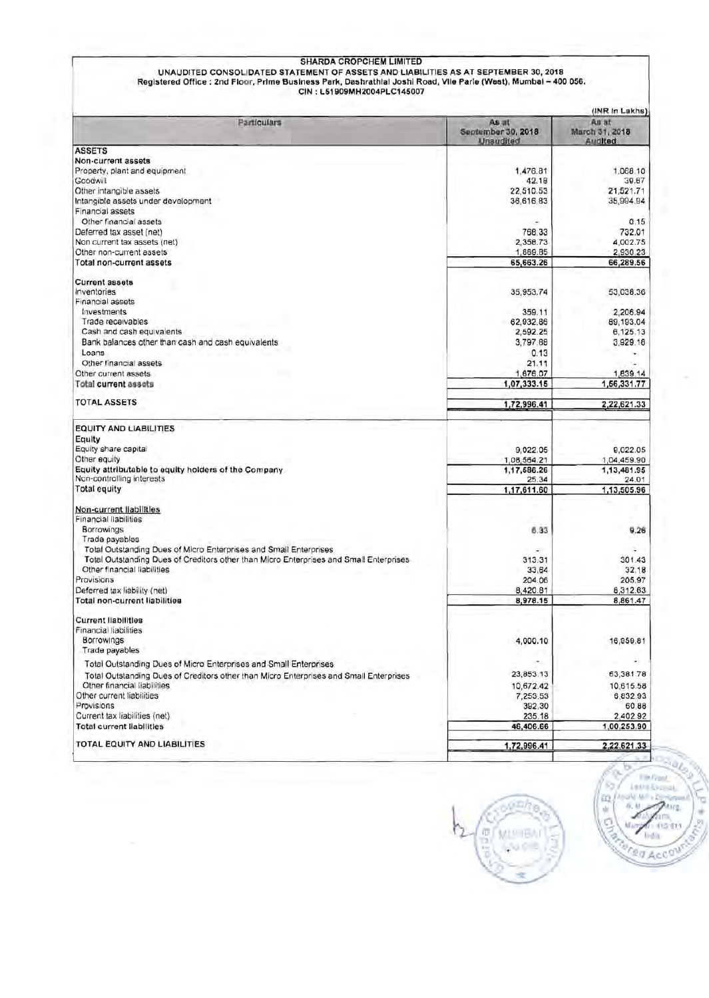# SHARDA CROPCHEM LIMITED<br>UNAUDITED CONSOLIDATED STATEMENT OF ASSETS AND LIABILITIES AS AT SEPTEMBER 30, 2018<br>Registered Office : 2nd Floor, Prime Business Park, Dashrathlal Joshi Road, Vile Parle (West), Mumbai – 400 056.<br>C

|                                                                                        |                                                 | (INR In Lakhs)<br>As at   |
|----------------------------------------------------------------------------------------|-------------------------------------------------|---------------------------|
| Particulars                                                                            | As at<br>September 30, 2018<br><b>Unaudited</b> | March 31, 2018<br>Audited |
| <b>ASSETS</b>                                                                          |                                                 |                           |
| Non-current assets                                                                     |                                                 |                           |
| Property, plant and equipment                                                          | 1,476.81                                        | 1,068.10                  |
| Goodwill                                                                               | 42.18                                           | 39.67                     |
| Other intangible assets                                                                | 22.510.53                                       | 21,521.71                 |
| Intangible assets under development                                                    | 36,616.83                                       | 35,994.94                 |
| Financial assets                                                                       |                                                 |                           |
| Other financial assets                                                                 |                                                 | 0.15                      |
| Deferred tax asset (net)                                                               | 768.33                                          | 732.01                    |
| Non current tax assets (net)                                                           | 2,358.73                                        | 4.002.75                  |
| Other non-current assets                                                               | 1,889.85                                        | 2,930.23                  |
| Total non-current assets                                                               | 65,663.26                                       | 66,289.56                 |
|                                                                                        |                                                 |                           |
| <b>Current assets</b>                                                                  |                                                 |                           |
| Inventories                                                                            | 35,953.74                                       | 53,038.36                 |
| Financial assets                                                                       |                                                 |                           |
| Investments                                                                            | 359.11                                          | 2,206.94                  |
| Trade receivables                                                                      | 62,932.86                                       | 89,193.04                 |
| Cash and cash equivalents                                                              | 2,592.25                                        | 6,125.13                  |
| Bank balances other than cash and cash equivalents                                     | 3,797.88                                        | 3,929.16                  |
|                                                                                        |                                                 |                           |
| Loans                                                                                  | 0.13                                            |                           |
| Other financial assets                                                                 | 21.11                                           |                           |
| Other current assets                                                                   | 1,676.07                                        | 1,839.14                  |
| <b>Total current assets</b>                                                            | 1.07,333.15                                     | 1,56,331.77               |
| TOTAL ASSETS                                                                           | 1,72,996.41                                     | 2,22,621.33               |
| <b>EQUITY AND LIABILITIES</b>                                                          |                                                 |                           |
| Equity                                                                                 |                                                 |                           |
| Equity share capital                                                                   | 9,022.05                                        | 9,022.05                  |
| Other equity                                                                           | 1,08,564.21                                     | 1,04,459.90               |
| Equity attributable to equity holders of the Company                                   | 1,17,586.26                                     | 1,13,481.95               |
| Non-controlling interests                                                              | 25.34                                           | 24.01                     |
| <b>Total equity</b>                                                                    | 1,17,611.60                                     | 1,13,505.96               |
|                                                                                        |                                                 |                           |
| Non-current liabilities                                                                |                                                 |                           |
| Financial liabilities                                                                  |                                                 |                           |
| Borrowings                                                                             | 6.33                                            | 9.26                      |
| Trade payables                                                                         |                                                 |                           |
| Total Outstanding Dues of Micro Enterprises and Small Enterprises                      |                                                 |                           |
| Total Outstanding Dues of Creditors other than Micro Enterprises and Small Enterprises | 313.31                                          | 301.43                    |
| Other financial liabilities                                                            | 33.64                                           | 32.18                     |
| Provisions                                                                             | 204.06                                          | 205.97                    |
| Deferred tax liability (net)                                                           | 8,420.81                                        | 8,312.63                  |
| Total non-current liabilities                                                          | 8,978.15                                        | 8,861.47                  |
| <b>Current liabilities</b>                                                             |                                                 |                           |
| Financial liabilities                                                                  |                                                 |                           |
|                                                                                        |                                                 |                           |
| Borrowings                                                                             | 4,000.10                                        | 16,959.81                 |
| Trade payables                                                                         |                                                 |                           |
| Total Outstanding Dues of Micro Enterprises and Small Enterprises                      |                                                 |                           |
| Total Outstanding Dues of Creditors other than Micro Enterprises and Small Enterprises | 23,853.13                                       | 63,381.78                 |
| Other financial liabilities                                                            | 10,672.42                                       | 10,615.58                 |
| Other current liabilities                                                              | 7.253.53                                        | 6,832.93                  |
| Provisions                                                                             | 392.30                                          | 60.88                     |
| Current tax liabilities (net)                                                          | 235.18                                          | 2,402.92                  |
| <b>Total current liabilities</b>                                                       | 46,406.66                                       | 1,00,253.90               |
|                                                                                        |                                                 |                           |
| TOTAL EQUITY AND LIABILITIES                                                           | 1,72,996.41                                     | 2,22,621.33               |



**TIMOUS** La Oil Exercit. 吅 ALC: ŵ tare 05 **India Bred Accon**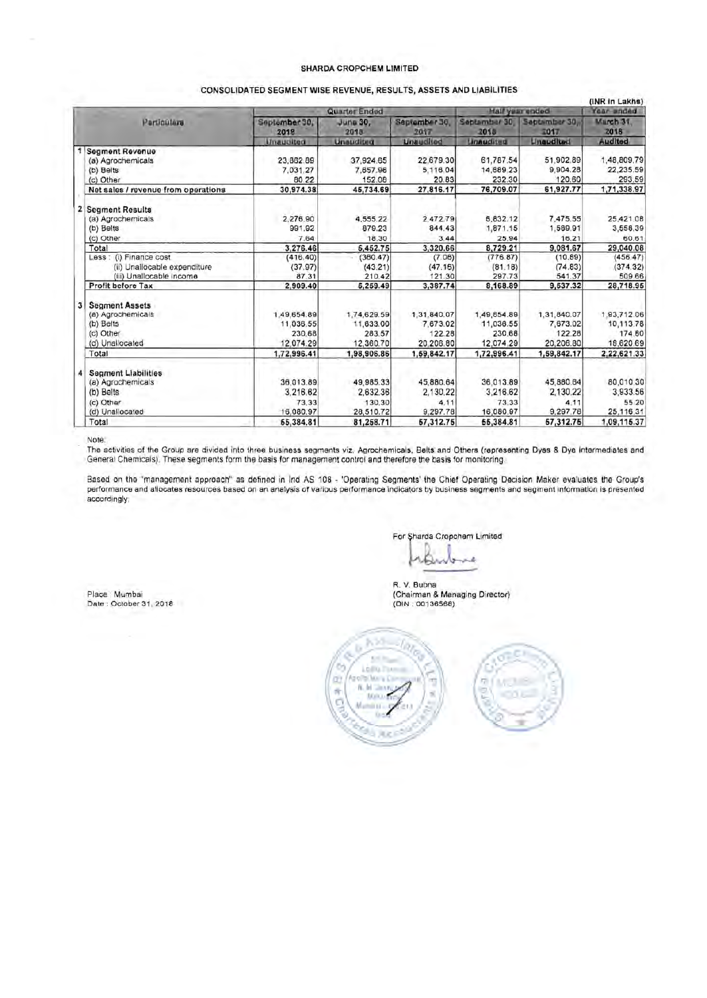## **SHARDA CROPCHEM LIMITED**

|              |                                                                                              |                                                 |                                                 |                                                |                                                 |                                                                | (INR in Lakhs)                                  |
|--------------|----------------------------------------------------------------------------------------------|-------------------------------------------------|-------------------------------------------------|------------------------------------------------|-------------------------------------------------|----------------------------------------------------------------|-------------------------------------------------|
|              |                                                                                              |                                                 | Quarter Ended                                   |                                                |                                                 | <b>Half year ended</b>                                         | Year anded                                      |
|              | Particulars                                                                                  | September 30,<br>2018<br>Unaudited              | Juna 30,<br>2018<br><b>Unauditied</b>           | September 30.<br>2017<br><b>Unaudited</b>      | September 30<br>2010<br><b>Unaudited</b>        | Sabtamber 30<br><b>3017</b><br><b><i><u>Lineudited</u></i></b> | March 31<br>2018<br>Audited                     |
|              | Segment Revenue                                                                              |                                                 |                                                 |                                                |                                                 |                                                                |                                                 |
|              | (a) Agrochemicals<br>(b) Beits<br>(c) Other                                                  | 23,862.89<br>7.031.27<br>80.22                  | 37,924.65<br>7,657.96<br>152.08                 | 22,679.30<br>5,116.04<br>20.83                 | 61,787.54<br>14,689.23<br>232.30                | 51,902.89<br>9.904.28<br>120.60                                | 1,48,809.79<br>22,235.59<br>293.59              |
|              | Net sales / revenue from operations                                                          | 30,974.38                                       | 45,734.69                                       | 27,816.17                                      | 76,709.07                                       | 61,927.77                                                      | 1,71,338.97                                     |
| $\mathbf{z}$ | <b>Segment Results</b><br>(a) Agrochemicals<br>(b) Belts                                     | 2,276.90<br>991.92                              | 4,555.22<br>879.23                              | 2,472.79<br>844.43                             | 5,832.12<br>1,871.15                            | 7,475.55<br>1,589.91                                           | 25,421.08<br>3,558.39                           |
|              | (c) Other                                                                                    | 7.64                                            | 18.30                                           | 3.44                                           | 25.94                                           | 16.21                                                          | 60.61                                           |
|              | Total                                                                                        | 3,276.46                                        | 6,452.75                                        | 3,320.66                                       | 8,729.21                                        | 9,081.67                                                       | 29,040.08                                       |
|              | Less: (i) Finance cost<br>(ii) Unallocable expenditure<br>(iii) Unallocable Income           | (416.40)<br>(37.97)<br>87.31                    | (360.47)<br>(43.21)<br>210.42                   | (7.06)<br>(47.16)<br>121.30                    | (776.87)<br>(81.18)<br>297.73                   | (10.89)<br>(74.83)<br>541.37                                   | (456.47)<br>(374.32)<br>509.66                  |
|              | Profit before Tax                                                                            | 2,909.40                                        | 5,259.49                                        | 3,387.74                                       | 8,168.89                                        | 9,537.32                                                       | 28,718.95                                       |
| 3            | <b>Segment Assets</b><br>(a) Agrochemicals<br>(b) Belts<br>(c) Other<br>(d) Unallocated      | 1,49,654.89<br>11,036.55<br>230.68<br>12,074.29 | 1,74,629.59<br>11,633.00<br>283.57<br>12,360.70 | 1,31,840.07<br>7,673.02<br>122.28<br>20,206.80 | 1,49,854.89<br>11,036.55<br>230.68<br>12,074.29 | 1,31,840.07<br>7,673.02<br>122.28<br>20,206.80                 | 1,93,712.06<br>10,113.78<br>174.60<br>18,620.69 |
|              | Total                                                                                        | 1,72,996.41                                     | 1,98,906.86                                     | 1,59,842.17                                    | 1,72,996.41                                     | 1,59,842.17                                                    | 2.22.621.33                                     |
| 4            | <b>Segment Liabilities</b><br>(a) Agrochemicals<br>(b) Belts<br>(c) Other<br>(d) Unallocated | 36.013.89<br>3,216.62<br>73.33<br>16,080.97     | 49,985.33<br>2,632.36<br>130.30<br>28,510.72    | 45,880.64<br>2,130.22<br>4.11<br>9,297.78      | 36,013.89<br>3,216.62<br>73.33<br>16,080.97     | 45,880.64<br>2.130.22<br>4.11<br>9,297.78                      | 80,010.30<br>3,933.56<br>55.20<br>25,116.31     |
|              | Total                                                                                        | 55,384.81                                       | 81,258.71                                       | 57,312.75                                      | 55,384.81                                       | 57,312.75                                                      | 1,09,115.37                                     |

Note:

.<br>The activities of the Group are divided into three business segments viz. Agrochemicals, Belts and Others (representing Dyes & Dye Intermediates and<br>General Chemicals). These segments form the basis for management contro

Based on the "management approach" as defined in Ind AS 108 - 'Operating Segments' the Chief Operating Decision Maker evaluates the Group's performance and allocates resources based on an analysis of various performance indicators by business segments and segment information is presented accordingly.

For Sharda Cropchem Limited

Сă Westwar ١J

R. V. Bubna Place Mumbai (Chainman & Managing Director)





Date : October 31, 2018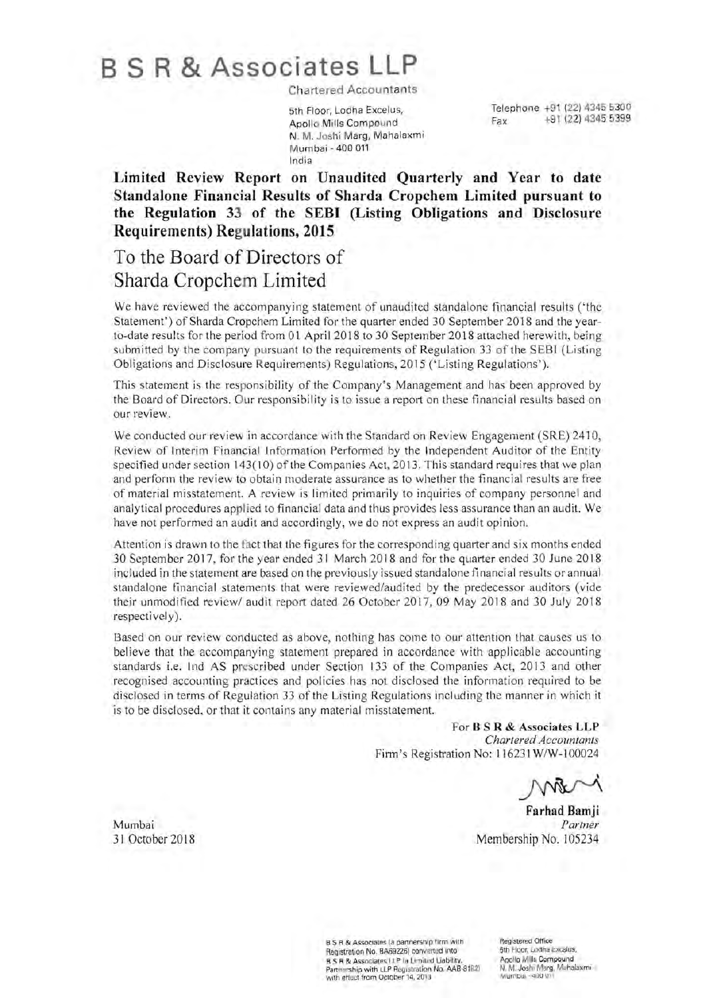# B S R **& Associates LLP**

**Chartered Accountants** 

Apollo Mills Compound N. M. Joshi Marg, Mahalaxmi Mumbai - 400 011 India

Telephone +91 (22) 4345 5300<br>Anglie Mille Compound<br>Fax +91 (22) 4345 5399

**Limited Review Report on Unaudited Quarterly and Year to date Standalone Financial Results of Sharda Cropchem Limited pursuant to the Regulation 33 of the SEBI (Listing Obligations and Disclosure Requirements) Regulations, 2015** 

# **To the Board of Directors of Sharda Cropchem Limited**

We have reviewed the accompanying statement of unaudited standalone financial results ('the Statement') of Sharda Cropchem Limited for the quarter ended 30 September 2018 and the yearto-date results for the period from 01 April 2018 to 30 September 2018 attached herewith, being submitted by the company pursuant to the requirements of Regulation 33 of the SEBI (Listing Obligations and Disclosure Requirements) Regulations, 2015 ('Listing Regulations').

This statement is the responsibility of the Company's Management and has been approved by the Board of Directors. Our responsibility is to issue a report on these financial results based on our review.

We conducted our review in accordance with the Standard on Review Engagement (SRE) 2410, Review of Interim Financial Information Performed by the Independent Auditor of the Entity specified under section 143( 10) of the Companies Act, 2013. This standard requires that we plan and perform the review to obtain moderate assurance as to whether the financial results are free of material misstatement. A review is limited primarily to inquiries of company personnel and analytical procedures applied to financial data and thus provides less assurance than an audit. We have not performed an audit and accordingly, we do not express an audit opinion.

Attention is drawn to the fact that the figures for the corresponding quarter and six months ended 30 September 2017, for the year ended 31 March 20 18 and for the quarter ended 30 June 2018 included in the statement are based on the previously issued standalone financial results or annual standalone financial statements that were reviewed/audited by the predecessor auditors (vide their unmodified review/ audit report dated 26 October 2017,09 May 2018 and 30 July 2018 respectively).

Based on our review conducted as above, nothing has come to our attention that causes us to believe that the accompanying statement prepared in accordance with applicable accounting standards i.e. Ind AS prescribed under Section 133 of the Companies Act, 2013 and other recognised accounting practices and policies has not disclosed the information required to be disclosed in terms of Regulation 33 of the Listing Regulations including the manner in which it is to be disclosed, or that it contains any material misstatement.

> For B S R & Associates **LLP**  *Chartered Accountants*  Finn's Registration No: 116231 W/W-I 00024

**Farhad Bamji**  Mumbai *Partner*  31 October 2018 Membership No. 105234

B S R & Associates (a partnership firm with **Registered Office** <br>Registration No. BA69226) converted into 5th Figor, Logha Excalus, Registration No. BA69226) converted into 5th Floor, Lodha Excelus,<br>R.S.R.& Associates LLP Ia Limited Liability, Apollo Mills Compound R S R **& Associates. LLP 1ft lim ited Liabilitv.** Anollo Mills Compound Pannarship with LLP Registration No. AAB-81 S21 N. M. Joshi Marg, Mahalaxmi Barnership with LLP Registration No. AAB-81821 N. M. Joshi Marg, Mahalaxmi<br>with effect from October 14, 2013 Municipal - 400 UNI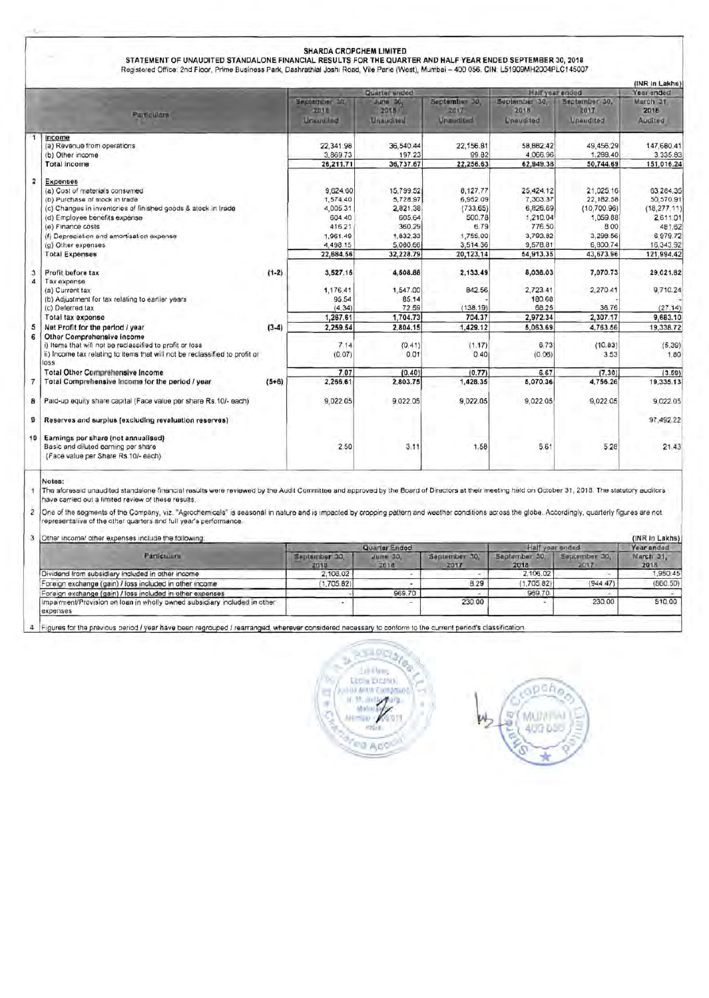|                         |                                                                                                                                                                                                                                                                                                         |         |                                                                                           | Quarter unded                                                                              |                                                                                         | Half year ended                                                                              |                                                                                                 | (INR In Lakhs)<br>Year ended                                                                         |
|-------------------------|---------------------------------------------------------------------------------------------------------------------------------------------------------------------------------------------------------------------------------------------------------------------------------------------------------|---------|-------------------------------------------------------------------------------------------|--------------------------------------------------------------------------------------------|-----------------------------------------------------------------------------------------|----------------------------------------------------------------------------------------------|-------------------------------------------------------------------------------------------------|------------------------------------------------------------------------------------------------------|
|                         | <b>Particulars</b>                                                                                                                                                                                                                                                                                      |         | Берфиловг 2/1<br>2010<br>Linuuxiled                                                       | <b>June 30,</b><br>2015<br>Unaudited                                                       | September 30,<br>2017<br>Unaudited                                                      | September 30,<br>2018<br>Unaudited                                                           | September 30,<br>2017<br>Unaudited                                                              | March 21.<br>2018<br>Audited:                                                                        |
|                         | Income<br>(a) Revenue from operations<br>(b) Other income                                                                                                                                                                                                                                               |         | 22,341.98<br>3,869.73                                                                     | 36.540.44<br>197.23                                                                        | 22.156.81<br>99.82                                                                      | 58.882.42<br>4,066.96                                                                        | 49.456.29<br>1,288.40                                                                           | 147,680.41<br>3,335.83                                                                               |
|                         | <b>Total income</b>                                                                                                                                                                                                                                                                                     |         | 26,211.71                                                                                 | 36,737.67                                                                                  | 22,256.63                                                                               | 62,949.38                                                                                    | 50,744.69                                                                                       | 151.016.24                                                                                           |
| $\overline{\mathbf{z}}$ | <b>Expenses</b><br>(a) Cost of materials consumed<br>(b) Purchase of stock in trade<br>(c) Changes in inventories of finished goods & stock in trade<br>(d) Employee benefits expense<br>(e) Finance costs<br>(f) Depreciation and amortisation expense<br>(g) Other expenses.<br><b>Total Expenses</b> |         | 9,624.60<br>1,574.40<br>4,005.31<br>604.40<br>416.21<br>1,961.49<br>4,498.15<br>22,684.56 | 15,799.52<br>5,728.97<br>2,821.38<br>605.64<br>360.29<br>1,832.33<br>5,080.66<br>32,228.79 | 8,127.77<br>6,952.09<br>(733.65)<br>500.78<br>6.79<br>1,755.00<br>3,514.36<br>20,123.14 | 25,424.12<br>7,303.37<br>6,826.69<br>1,210.04<br>776.50<br>3,793.82<br>9,578.81<br>54,913.35 | 21,025.16<br>22,182.58<br>(10, 700.96)<br>1.059.88<br>8.00<br>3,298.56<br>6,800.74<br>43,673.96 | 63,284,35<br>50,570.91<br>(18, 277, 11)<br>2,611.01<br>481.62<br>6.979.72<br>16,343.92<br>121,994.42 |
| з<br>A                  | Profit before tax<br>Tax expense<br>(a) Current tax                                                                                                                                                                                                                                                     | $(1-2)$ | 3,527.15<br>1,176.41                                                                      | 4,508.88<br>1,547.00                                                                       | 2,133.49<br>842.56                                                                      | 8,036.03<br>2.723.41                                                                         | 7,070.73<br>2,270.41                                                                            | 29,021.82<br>9,710.24                                                                                |
|                         | (b) Adjustment for tax relating to eartier years<br>(c) Deferred tax                                                                                                                                                                                                                                    |         | 95.54<br>(4.34)                                                                           | 85 14<br>72.59                                                                             | (138.19)                                                                                | 180.68<br>68.25                                                                              | 36.76                                                                                           | (27.14)                                                                                              |
|                         | Total tax expense                                                                                                                                                                                                                                                                                       |         | 1,267.61                                                                                  | 1,704.73                                                                                   | 704.37                                                                                  | 2,972.34                                                                                     | 2,307.17                                                                                        | 9,683.10                                                                                             |
| 5<br>6                  | Net Profit for the period / year<br>Other Comprehensive income                                                                                                                                                                                                                                          | $(3-4)$ | 2.259.54                                                                                  | 2,804.15                                                                                   | 1.429.12                                                                                | 5,063.69                                                                                     | 4,763.56                                                                                        | 19,338.72                                                                                            |
|                         | i) Items that will not be reclassified to profit or loss<br>ii) Income tax relating to items that will not be reclassified to profit or<br>loss                                                                                                                                                         |         | 7.14<br>(0.07)                                                                            | (0.41)<br>0.01                                                                             | (1.17)<br>0.40                                                                          | 6,73<br>(0.06)                                                                               | (10.83)<br>3.53                                                                                 | (5.39)<br>1.80                                                                                       |
|                         | <b>Total Other Comprehensive Income</b>                                                                                                                                                                                                                                                                 |         | 7.07                                                                                      | (0.40)                                                                                     | (0.77)                                                                                  | 6.67                                                                                         | (7.30)                                                                                          | (3.59)                                                                                               |
| $\overline{7}$          | Total Comprehensive Income for the period / year                                                                                                                                                                                                                                                        | $(5+6)$ | 2,266.61                                                                                  | 2,803.75                                                                                   | 1,428.35                                                                                | 5,070.36                                                                                     | 4,756.26                                                                                        | 19,335.13                                                                                            |
| 8                       | Paid-up equity share capital (Face value per share Rs.10/- each)                                                                                                                                                                                                                                        |         | 9,022.05                                                                                  | 9,022.05                                                                                   | 9,022.05                                                                                | 9,022.05                                                                                     | 9,022.05                                                                                        | 9,022.05                                                                                             |
| õ                       | Reserves and surplus (excluding revaluation reserves)                                                                                                                                                                                                                                                   |         |                                                                                           |                                                                                            |                                                                                         |                                                                                              |                                                                                                 | 97,492.22                                                                                            |
|                         | 10 Earnings per share (not annualised)<br>Basic and diluted earning per share<br>(Face value per Share Rs.10/- each)                                                                                                                                                                                    |         | 2.50                                                                                      | 3.11                                                                                       | 1.58                                                                                    | 5.61                                                                                         | 5.28                                                                                            | 21.43                                                                                                |

The aforesaid unaudited standalone financial results were reviewed by the Audit Committee and approved by the Board of Directors at their meeting held on October 31, 2018. The statutory auditors 4 have carried out a limited review of these results.

 $\dot{\mathbf{z}}$ |One of the segments of the Company, viz. "Agrochemicals" is seasonal in nature and is impacted by cropping pattern and weather conditions across the globe. Accordingly, quarterly figures are not<br>|representative of the oth

| 3 Other income/ other expenses include the following:                                 |                       |                      |                       |                      |                       |                   |  |  |
|---------------------------------------------------------------------------------------|-----------------------|----------------------|-----------------------|----------------------|-----------------------|-------------------|--|--|
|                                                                                       |                       | Quarter Ended        |                       | Half u<br>ar anded   | Year ended            |                   |  |  |
| <b>Particulars</b>                                                                    | September 10.<br>2018 | $J$ urte 30.<br>2018 | September 10.<br>2017 | Saptamber 30<br>2018 | September 30.<br>2017 | March 31.<br>2018 |  |  |
| Dividend from subsidiary included in other income                                     | 2,106.02              |                      |                       | 2.106.02             |                       | 1,950:45          |  |  |
| Foreign exchange (gain) / loss included in other income                               | 1,705.82              |                      | 8.29                  | (1.705.82)           | (944.47)              | (860.50)          |  |  |
| Foreign exchange (gain) / loss included in other expenses                             |                       | 969.70               |                       | 969.70               |                       |                   |  |  |
| Impairment/Provision on loan in wholly owned subsidiary included in other<br>expenses |                       |                      | 230.00                |                      | 230.00                | 510.00            |  |  |

4 Figures for the previous period / year have been regrouped / rearranged, wherever considered necessary to conform to the current period's classification.



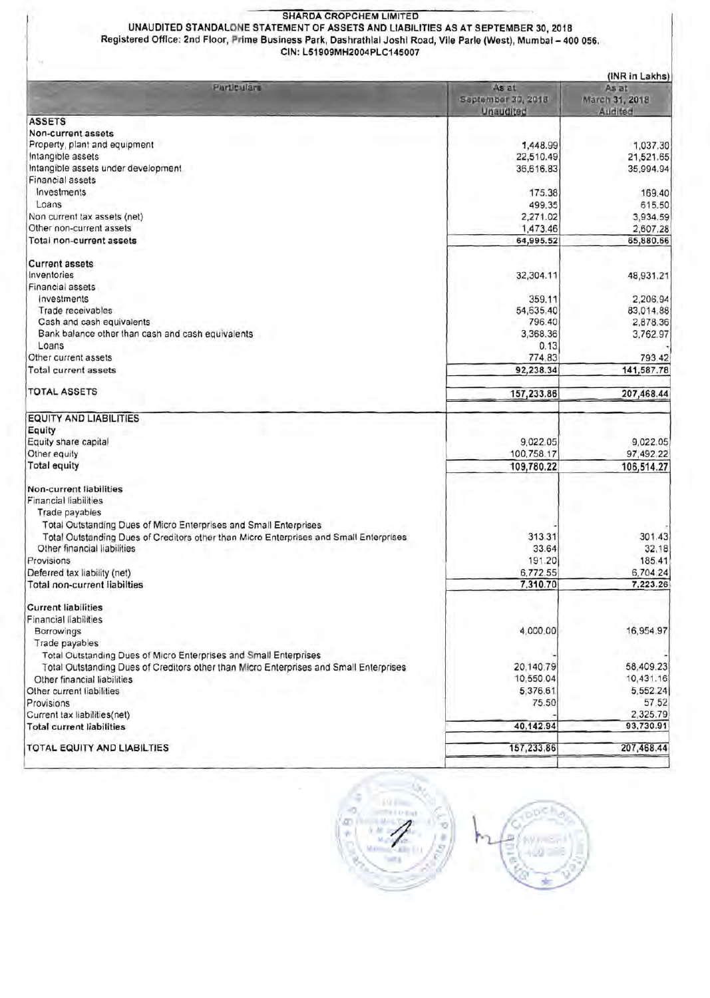### SHARDA CROPCHEM LIMITED

UNAUDITED STANDALONE STATEMENT OF ASSETS AND LIABILITIES AS AT SEPTEMBER 30, 2018 Registered Office: 2nd Floor, Prime Business Park, Dashrathlal Joshi Road, Vile Parle (West), Mumbal- 400 056. CIN: L51909MH2004PLC145007

|                                                                                        |                                          | (INR in Lakhs)                     |
|----------------------------------------------------------------------------------------|------------------------------------------|------------------------------------|
| Particulars                                                                            | As at<br>September 30, 2018<br>Unaudited | As at<br>March 31, 2018<br>Audited |
| <b>ASSETS</b>                                                                          |                                          |                                    |
| Non-current assets                                                                     |                                          |                                    |
| Property, plant and equipment                                                          | 1,448.99                                 | 1,037.30                           |
| Intangible assets                                                                      | 22,510.49                                | 21,521.65                          |
| Intangible assets under development                                                    | 36,616.83                                | 35,994.94                          |
| Financial assets                                                                       |                                          |                                    |
| Investments                                                                            | 175.38                                   | 169.40                             |
| Loans                                                                                  | 499.35                                   | 615.50                             |
| Non current tax assets (net)                                                           | 2,271.02                                 | 3,934.59                           |
| Other non-current assets                                                               | 1,473.46                                 | 2,607.28                           |
| Total non-current assets                                                               | 64,995.52                                | 65,880.66                          |
| <b>Current assets</b>                                                                  |                                          |                                    |
| Inventories                                                                            |                                          |                                    |
| Financial assets                                                                       | 32,304.11                                | 48,931.21                          |
|                                                                                        |                                          |                                    |
| investments                                                                            | 359.11                                   | 2,206.94                           |
| Trade receivables                                                                      | 54,635.40                                | 83,014.88                          |
| Cash and cash equivalents                                                              | 796.40                                   | 2,878.36                           |
| Bank balance other than cash and cash equivalents                                      | 3.368.36                                 | 3,762.97                           |
| Loans                                                                                  | 0.13                                     |                                    |
| Other current assets                                                                   | 774.83                                   | 793.42                             |
| <b>Total current assets</b>                                                            | 92,238.34                                | 141,587.78                         |
| <b>TOTAL ASSETS</b>                                                                    | 157,233.86                               | 207,468.44                         |
| <b>EQUITY AND LIABILITIES</b>                                                          |                                          |                                    |
| Equity                                                                                 |                                          |                                    |
| Equity share capital                                                                   | 9,022.05                                 | 9,022.05                           |
| Other equity                                                                           | 100,758.17                               | 97,492.22                          |
| <b>Total equity</b>                                                                    | 109,780.22                               | 106,514.27                         |
| Non-current liabilities                                                                |                                          |                                    |
| Financial liabilities                                                                  |                                          |                                    |
| Trade payables                                                                         |                                          |                                    |
| Total Outstanding Dues of Micro Enterprises and Small Enterprises                      |                                          |                                    |
| Total Outstanding Dues of Creditors other than Micro Enterprises and Small Enterprises | 313.31                                   | 301.43                             |
| Other financial liabilities                                                            | 33.64                                    | 32.18                              |
| Provisions                                                                             | 191.20                                   | 185.41                             |
|                                                                                        | 6,772.55                                 |                                    |
| Deferred tax liability (net)<br><b>Total non-current liabilties</b>                    | 7,310.70                                 | 6,704.24<br>7,223.26               |
|                                                                                        |                                          |                                    |
| <b>Current liabilities</b>                                                             |                                          |                                    |
| <b>Financial liabilities</b>                                                           |                                          |                                    |
| Borrowings                                                                             | 4,000.00                                 | 16,954.97                          |
| Trade payables                                                                         |                                          |                                    |
| Total Outstanding Dues of Micro Enterprises and Small Enterprises                      |                                          |                                    |
| Total Outstanding Dues of Creditors other than Micro Enterprises and Small Enterprises | 20,140.79                                | 58,409.23                          |
| Other financial liabilities                                                            | 10,550.04                                | 10,431.16                          |
| Other current liabilities                                                              | 5,376.61                                 | 5,552.24                           |
| Provisions                                                                             | 75.50                                    | 57.52                              |
| Current tax liabilities(net)                                                           |                                          | 2,325.79                           |
| <b>Total current liabilities</b>                                                       | 40,142.94                                | 93,730.91                          |
| TOTAL EQUITY AND LIABILTIES                                                            | 157,233,86                               | 207,468.44                         |
|                                                                                        |                                          |                                    |